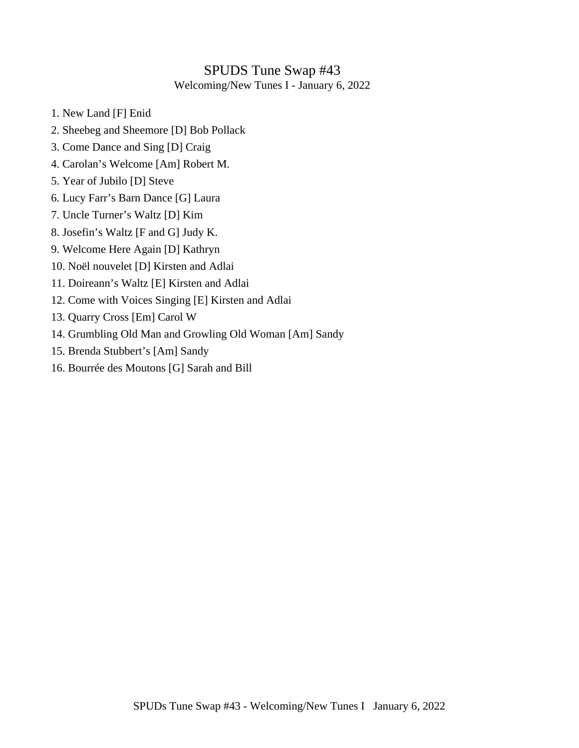# SPUDS Tune Swap #43

Welcoming/New Tunes I - January 6, 2022

- 1. New Land [F] Enid
- 2. Sheebeg and Sheemore [D] Bob Pollack
- 3. Come Dance and Sing [D] Craig
- 4. Carolan's Welcome [Am] Robert M.
- 5. Year of Jubilo [D] Steve
- 6. Lucy Farr's Barn Dance [G] Laura
- 7. Uncle Turner's Waltz [D] Kim
- 8. Josefin's Waltz [F and G] Judy K.
- 9. Welcome Here Again [D] Kathryn
- 10. Noël nouvelet [D] Kirsten and Adlai
- 11. Doireann's Waltz [E] Kirsten and Adlai
- 12. Come with Voices Singing [E] Kirsten and Adlai
- 13. Quarry Cross [Em] Carol W
- 14. Grumbling Old Man and Growling Old Woman [Am] Sandy
- 15. Brenda Stubbert's [Am] Sandy
- 16. Bourrée des Moutons [G] Sarah and Bill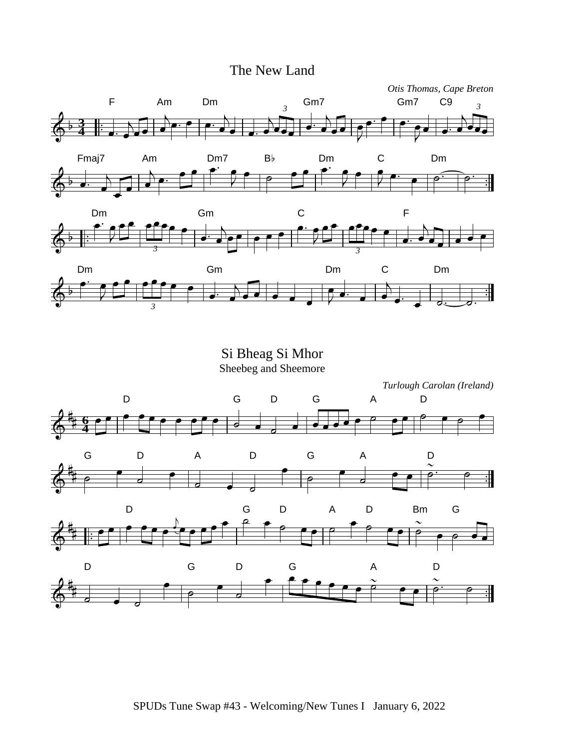#### The New Land



Si Bheag Si Mhor Sheebeg and Sheemore

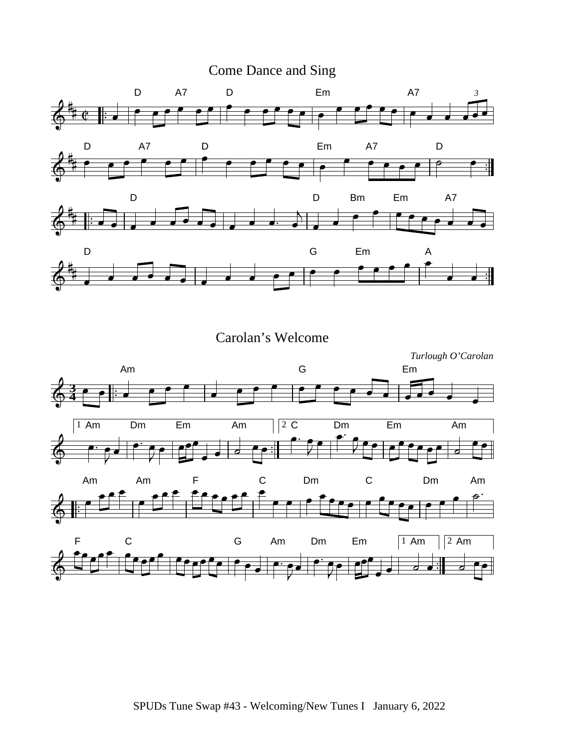



Carolan's Welcome

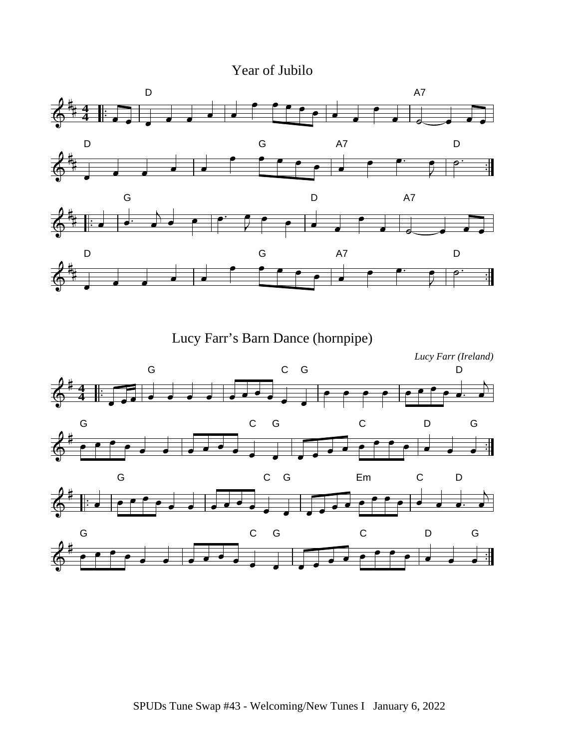### Year of Jubilo



Lucy Farr's Barn Dance (hornpipe)

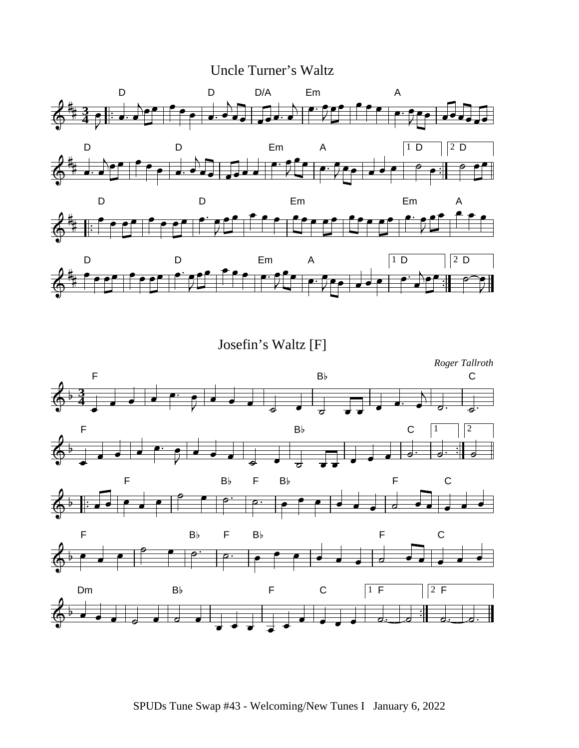### Uncle Turner's Waltz



Josefin's Waltz [F]

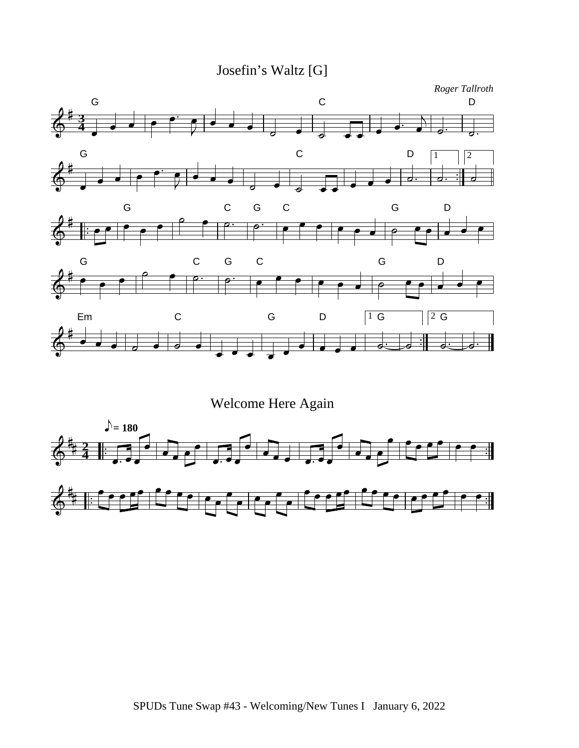Josefin's Waltz [G]



Welcome Here Again

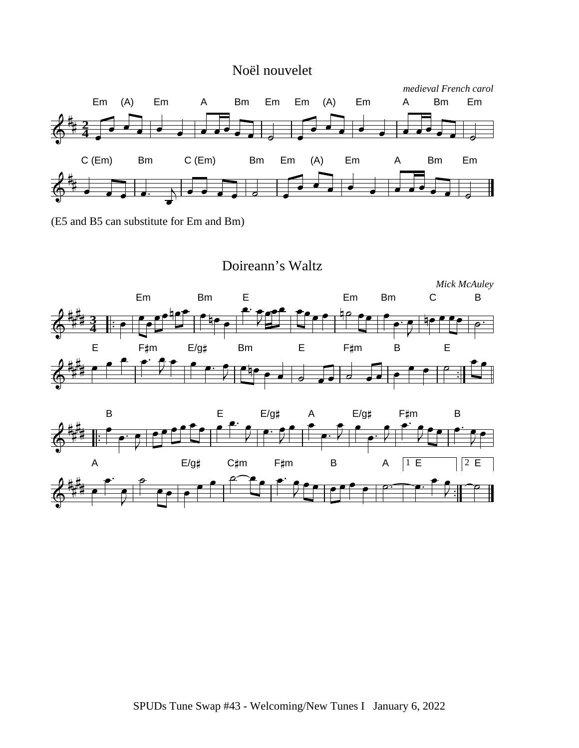#### Noël nouvelet



(E5 and B5 can substitute for Em and Bm)



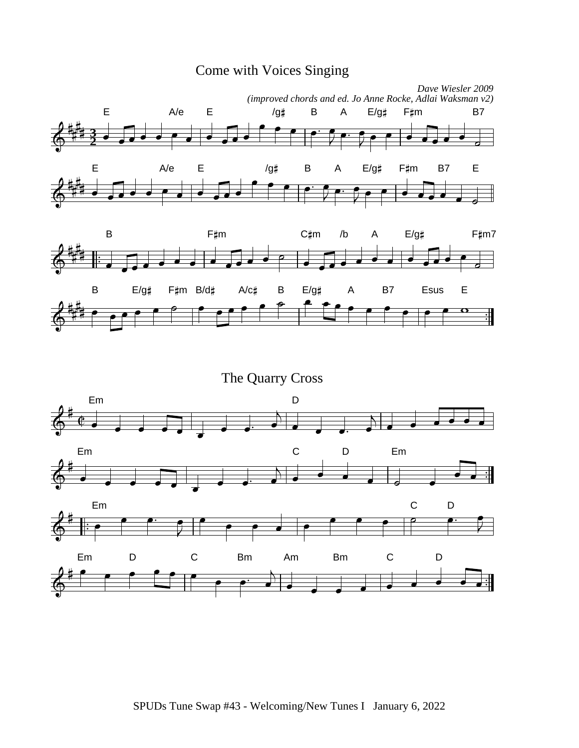



The Quarry Cross

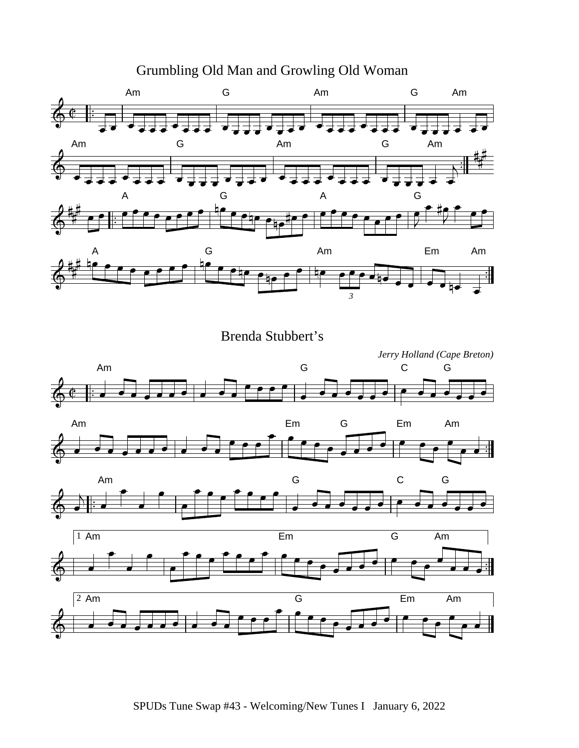

Brenda Stubbert's



Grumbling Old Man and Growling Old Woman